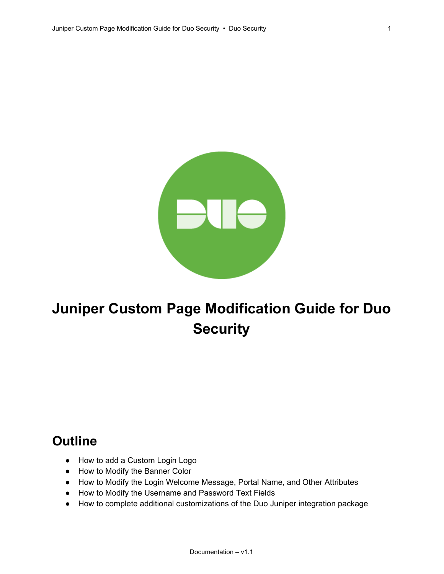

# **Juniper Custom Page Modification Guide for Duo Security**

### **Outline**

- How to add a Custom Login Logo
- How to Modify the Banner Color
- How to Modify the Login Welcome Message, Portal Name, and Other Attributes
- How to Modify the Username and Password Text Fields
- How to complete additional customizations of the Duo Juniper integration package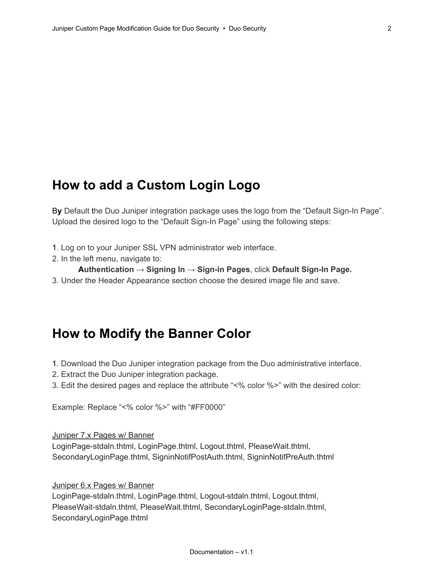### **How to add a Custom Login Logo**

By Default the Duo Juniper integration package uses the logo from the "Default Sign-In Page". Upload the desired logo to the "Default Sign-In Page" using the following steps:

- 1. Log on to your Juniper SSL VPN administrator web interface.
- 2. In the left menu, navigate to:

#### **Authentication → Signing In → Signin Pages**, click **Default SignIn Page.**

3. Under the Header Appearance section choose the desired image file and save.

#### **How to Modify the Banner Color**

- 1. Download the Duo Juniper integration package from the Duo administrative interface.
- 2. Extract the Duo Juniper integration package.
- 3. Edit the desired pages and replace the attribute "<% color %>" with the desired color:

Example: Replace "<% color %>" with "#FF0000"

Juniper 7.x Pages w/ Banner

LoginPage-stdaln.thtml, LoginPage.thtml, Logout.thtml, PleaseWait.thtml, SecondaryLoginPage.thtml, SigninNotifPostAuth.thtml, SigninNotifPreAuth.thtml

Juniper 6.x Pages w/ Banner

LoginPage-stdaln.thtml, LoginPage.thtml, Logout-stdaln.thtml, Logout.thtml, PleaseWait-stdaln.thtml, PleaseWait.thtml, SecondaryLoginPage-stdaln.thtml, SecondaryLoginPage.thtml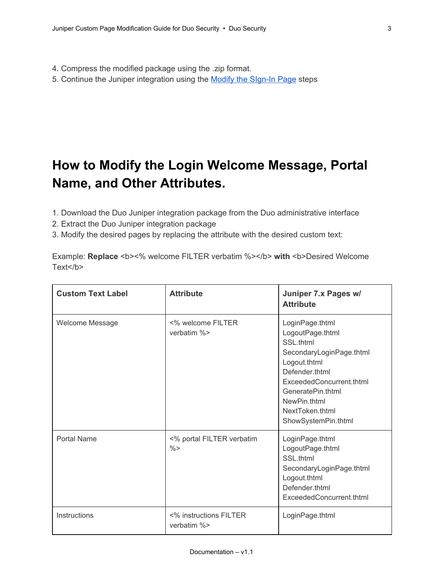4. Compress the modified package using the .zip format.

5. Continue the Juniper integration using the [M](https://www.duosecurity.com/docs/juniper#modify_the_signin_page)odify the SIgn-In Page steps

## **How to Modify the Login Welcome Message, Portal Name, and Other Attributes.**

- 1. Download the Duo Juniper integration package from the Duo administrative interface
- 2. Extract the Duo Juniper integration package
- 3. Modify the desired pages by replacing the attribute with the desired custom text:

Example: Replace <b><% welcome FILTER verbatim %></b> with <b>Desired Welcome Text<sup></b></sup>

| <b>Custom Text Label</b> | <b>Attribute</b>                           | Juniper 7.x Pages w/<br><b>Attribute</b>                                                                                                                                                                                  |
|--------------------------|--------------------------------------------|---------------------------------------------------------------------------------------------------------------------------------------------------------------------------------------------------------------------------|
| Welcome Message          | <% welcome FILTER<br>verbatim %>           | LoginPage.thtml<br>LogoutPage.thtml<br>SSL.thtml<br>SecondaryLoginPage.thtml<br>Logout.thtml<br>Defender.thtml<br>ExceededConcurrent.thtml<br>GeneratePin.thtml<br>NewPin.thtml<br>NextToken.thtml<br>ShowSystemPin.thtml |
| <b>Portal Name</b>       | <% portal FILTER verbatim<br>$\frac{0}{0}$ | LoginPage.thtml<br>LogoutPage.thtml<br>SSL.thtml<br>SecondaryLoginPage.thtml<br>Logout.thtml<br>Defender.thtml<br>ExceededConcurrent.thtml                                                                                |
| Instructions             | <% instructions FILTER<br>verbatim $%$     | LoginPage.thtml                                                                                                                                                                                                           |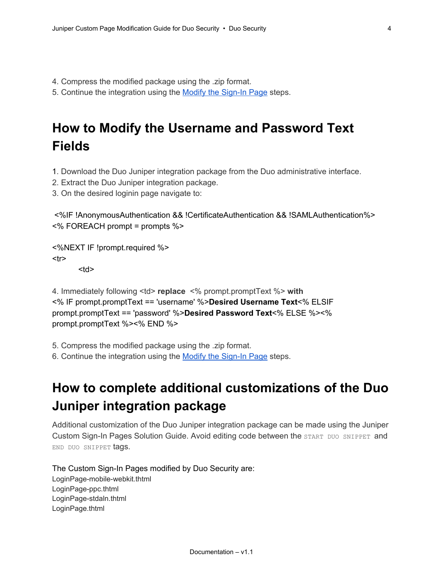- 4. Compress the modified package using the .zip format.
- 5. Continue the integration using the [M](https://www.duosecurity.com/docs/juniper#modify_the_signin_page)odify the Sign-In Page steps.

### **How to Modify the Username and Password Text Fields**

- 1. Download the Duo Juniper integration package from the Duo administrative interface.
- 2. Extract the Duo Juniper integration package.
- 3. On the desired loginin page navigate to:

<%IF !AnonymousAuthentication && !CertificateAuthentication && !SAMLAuthentication%> <% FOREACH prompt = prompts %>

<%NEXT IF !prompt.required %> <tr>

<td>

4. Immediately following <td> **replace** <% prompt.promptText %> **with** <% IF prompt.promptText == 'username' %>**Desired Username Text**<% ELSIF prompt.promptText == 'password' %>**Desired Password Text**<% ELSE %><% prompt.promptText %><% END %>

5. Compress the modified package using the .zip format.

6. Continue the integration using the [M](https://www.duosecurity.com/docs/juniper#modify_the_signin_page)odify the Sign-In Page steps.

### **How to complete additional customizations of the Duo Juniper integration package**

Additional customization of the Duo Juniper integration package can be made using the Juniper Custom Sign-In Pages Solution Guide. Avoid editing code between the START DUO SNIPPET and END DUO SNIPPET tags.

The Custom Sign-In Pages modified by Duo Security are:

LoginPage-mobile-webkit.thtml LoginPage-ppc.thtml LoginPage-stdaln.thtml LoginPage.thtml